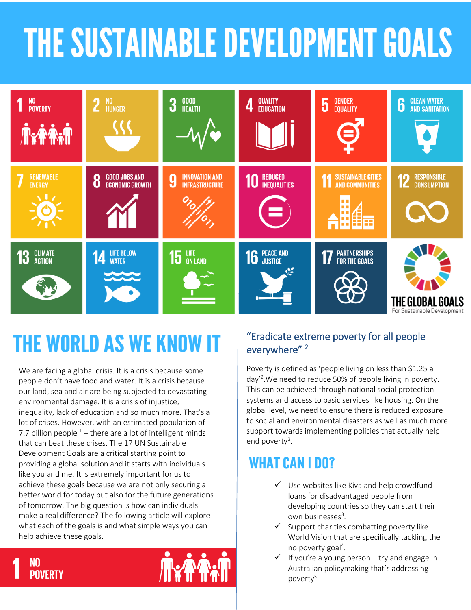# **THE SUSTAINABLE DEVELOPMENT GOALS**



## **THE WORLD AS WE KNOW IT**

We are facing a global crisis. It is a crisis because some people don't have food and water. It is a crisis because our land, sea and air are being subjected to devastating environmental damage. It is a crisis of injustice, inequality, lack of education and so much more. That's a lot of crises. However, with an estimated population of 7.7 billion people  $1 -$  there are a lot of intelligent minds that can beat these crises. The 17 UN Sustainable Development Goals are a critical starting point to providing a global solution and it starts with individuals like you and me. It is extremely important for us to achieve these goals because we are not only securing a better world for today but also for the future generations of tomorrow. The big question is how can individuals make a real difference? The following article will explore what each of the goals is and what simple ways you can help achieve these goals.

#### "Eradicate extreme poverty for all people everywhere" <sup>2</sup>

Poverty is defined as 'people living on less than \$1.25 a day'<sup>2</sup> .We need to reduce 50% of people living in poverty. This can be achieved through national social protection systems and access to basic services like housing. On the global level, we need to ensure there is reduced exposure to social and environmental disasters as well as much more support towards implementing policies that actually help end poverty<sup>2</sup>.

## **WHAT CAN I DO?**

- ✓ Use websites like Kiva and help crowdfund loans for disadvantaged people from developing countries so they can start their own businesses<sup>3</sup>.
- Support charities combatting poverty like World Vision that are specifically tackling the no poverty goal<sup>4</sup>.
- If you're a young person try and engage in Australian policymaking that's addressing poverty<sup>5</sup>.



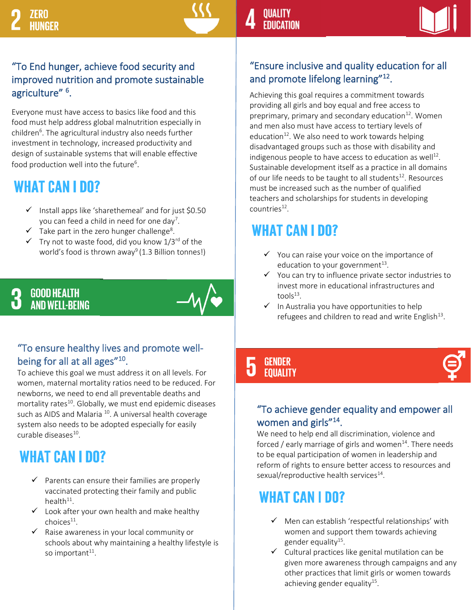#### "To End hunger, achieve food security and improved nutrition and promote sustainable agriculture" <sup>6</sup>.

Everyone must have access to basics like food and this food must help address global malnutrition especially in children<sup>6</sup>. The agricultural industry also needs further investment in technology, increased productivity and design of sustainable systems that will enable effective food production well into the future<sup>6</sup>.

## WHAT CAN I DO?

- $\checkmark$  Install apps like 'sharethemeal' and for just \$0.50 you can feed a child in need for one day<sup>7</sup>.
- $\checkmark$  Take part in the zero hunger challenge<sup>8</sup>.
- $\checkmark$  Try not to waste food, did you know  $1/3^{rd}$  of the world's food is thrown away<sup>9</sup> (1.3 Billion tonnes!)

#### **GOOD HEALTH AND WELL-BEING**

#### "To ensure healthy lives and promote wellbeing for all at all ages"<sup>10</sup>.

To achieve this goal we must address it on all levels. For women, maternal mortality ratios need to be reduced. For newborns, we need to end all preventable deaths and mortality rates<sup>10</sup>. Globally, we must end epidemic diseases such as AIDS and Malaria  $^{10}$ . A universal health coverage system also needs to be adopted especially for easily curable diseases<sup>10</sup>.

## **WHAT CAN I DO?**

- $\checkmark$  Parents can ensure their families are properly vaccinated protecting their family and public health $^{11}$ .
- $\checkmark$  Look after your own health and make healthy choices<sup>11</sup>.
- ✓ Raise awareness in your local community or schools about why maintaining a healthy lifestyle is so important<sup>11</sup>.



#### "Ensure inclusive and quality education for all and promote lifelong learning"<sup>12</sup>.

Achieving this goal requires a commitment towards providing all girls and boy equal and free access to preprimary, primary and secondary education $12$ . Women and men also must have access to tertiary levels of education<sup>12</sup>. We also need to work towards helping disadvantaged groups such as those with disability and indigenous people to have access to education as well<sup>12</sup>. Sustainable development itself as a practice in all domains of our life needs to be taught to all students<sup>12</sup>. Resources must be increased such as the number of qualified teachers and scholarships for students in developing countries<sup>12</sup>.

## **WHAT CAN I DO?**

- ✓ You can raise your voice on the importance of education to your government<sup>13</sup>.
- ✓ You can try to influence private sector industries to invest more in educational infrastructures and  $tools<sup>13</sup>$ .
- $\checkmark$  In Australia you have opportunities to help refugees and children to read and write English $^{13}$ .

#### L GENDER **EQUALITY**

#### "To achieve gender equality and empower all women and girls"<sup>14</sup>.

We need to help end all discrimination, violence and forced / early marriage of girls and women<sup>14</sup>. There needs to be equal participation of women in leadership and reform of rights to ensure better access to resources and sexual/reproductive health services $^{14}$ .

### WHAT CAN I DO?

- ✓ Men can establish 'respectful relationships' with women and support them towards achieving gender equality<sup>15</sup>.
- ✓ Cultural practices like genital mutilation can be given more awareness through campaigns and any other practices that limit girls or women towards achieving gender equality<sup>15</sup>.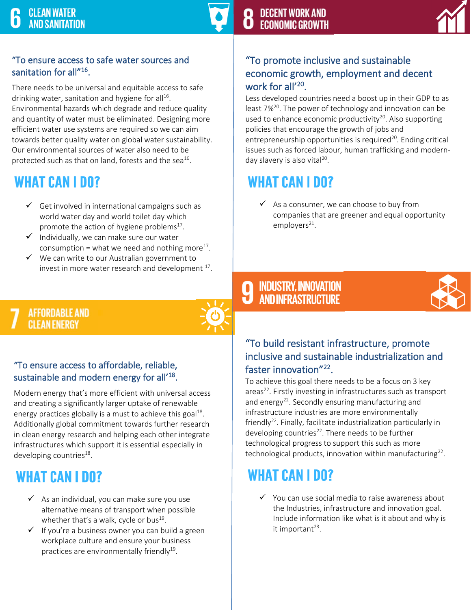#### "To ensure access to safe water sources and sanitation for all"<sup>16</sup>.

There needs to be universal and equitable access to safe drinking water, sanitation and hygiene for all<sup>16</sup>. Environmental hazards which degrade and reduce quality and quantity of water must be eliminated. Designing more efficient water use systems are required so we can aim towards better quality water on global water sustainability. Our environmental sources of water also need to be protected such as that on land, forests and the sea<sup>16</sup>.

### **WHAT CAN I DO?**

- $\checkmark$  Get involved in international campaigns such as world water day and world toilet day which promote the action of hygiene problems $^{17}$ .
- $\checkmark$  Individually, we can make sure our water consumption = what we need and nothing more<sup>17</sup>.
- ✓ We can write to our Australian government to invest in more water research and development  $^{17}$ .

#### **AFFORDABLE AND CLEAN ENERGY** Ļ

#### "To ensure access to affordable, reliable, sustainable and modern energy for all'<sup>18</sup>.

Modern energy that's more efficient with universal access and creating a significantly larger uptake of renewable energy practices globally is a must to achieve this goal $^{18}$ . Additionally global commitment towards further research in clean energy research and helping each other integrate infrastructures which support it is essential especially in developing countries<sup>18</sup>.

### **WHAT CAN I DO?**

- $\checkmark$  As an individual, you can make sure you use alternative means of transport when possible whether that's a walk, cycle or bus<sup>19</sup>.
- $\checkmark$  If you're a business owner you can build a green workplace culture and ensure your business practices are environmentally friendly<sup>19</sup>.



#### "To promote inclusive and sustainable economic growth, employment and decent work for all'<sup>20</sup>.

Less developed countries need a boost up in their GDP to as least 7%<sup>20</sup>. The power of technology and innovation can be used to enhance economic productivity<sup>20</sup>. Also supporting policies that encourage the growth of jobs and entrepreneurship opportunities is required $20$ . Ending critical issues such as forced labour, human trafficking and modernday slavery is also vital<sup>20</sup>.

## **WHAT CAN I DO?**

 $\checkmark$  As a consumer, we can choose to buy from companies that are greener and equal opportunity employers<sup>21</sup>.

## **9 INDUSTRY, INNOVATION<br>AND INFRASTRUCTURE**



#### "To build resistant infrastructure, promote inclusive and sustainable industrialization and faster innovation"<sup>22</sup>.

To achieve this goal there needs to be a focus on 3 key areas<sup>22</sup>. Firstly investing in infrastructures such as transport and energy<sup>22</sup>. Secondly ensuring manufacturing and infrastructure industries are more environmentally friendly<sup>22</sup>. Finally, facilitate industrialization particularly in developing countries<sup>22</sup>. There needs to be further technological progress to support this such as more technological products, innovation within manufacturing $^{22}$ .

## **WHAT CAN I DO?**

✓ You can use social media to raise awareness about the Industries, infrastructure and innovation goal. Include information like what is it about and why is it important<sup>23</sup>.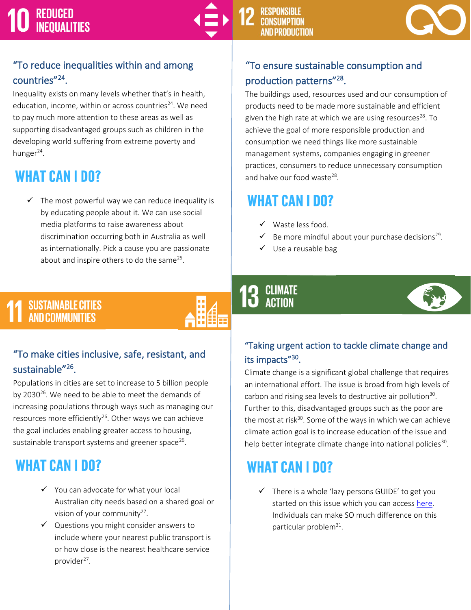

#### "To reduce inequalities within and among countries"<sup>24</sup>.

Inequality exists on many levels whether that's in health, education, income, within or across countries $^{24}$ . We need to pay much more attention to these areas as well as supporting disadvantaged groups such as children in the developing world suffering from extreme poverty and hunger<sup>24</sup>.

### **WHAT CAN I DO?**

 $\checkmark$  The most powerful way we can reduce inequality is by educating people about it. We can use social media platforms to raise awareness about discrimination occurring both in Australia as well as internationally. Pick a cause you are passionate about and inspire others to do the same<sup>25</sup>.

### "To ensure sustainable consumption and production patterns"<sup>28</sup>.

The buildings used, resources used and our consumption of products need to be made more sustainable and efficient given the high rate at which we are using resources $^{28}$ . To achieve the goal of more responsible production and consumption we need things like more sustainable management systems, companies engaging in greener practices, consumers to reduce unnecessary consumption and halve our food waste<sup>28</sup>.

### **WHAT CAN I DO?**

- ✓ Waste less food.
- $\checkmark$  Be more mindful about your purchase decisions<sup>29</sup>.
- ✓ Use a reusable bag

## SUSTAINABLE CITIES<br>AND COMMUNITIES



#### "To make cities inclusive, safe, resistant, and sustainable<sup>"26</sup>.

Populations in cities are set to increase to 5 billion people by 2030<sup>26</sup>. We need to be able to meet the demands of increasing populations through ways such as managing our resources more efficiently<sup>26</sup>. Other ways we can achieve the goal includes enabling greater access to housing, sustainable transport systems and greener space<sup>26</sup>.

## **WHAT CAN I DO?**

- ✓ You can advocate for what your local Australian city needs based on a shared goal or vision of your community $27$ .
- ✓ Questions you might consider answers to include where your nearest public transport is or how close is the nearest healthcare service provider<sup>27</sup>.

## **13 CLIMATE**



#### "Taking urgent action to tackle climate change and its impacts"<sup>30</sup>.

Climate change is a significant global challenge that requires an international effort. The issue is broad from high levels of carbon and rising sea levels to destructive air pollution<sup>30</sup>. Further to this, disadvantaged groups such as the poor are the most at risk $30$ . Some of the ways in which we can achieve climate action goal is to increase education of the issue and help better integrate climate change into national policies<sup>30</sup>.

## **WHAT CAN I DO?**

✓ There is a whole 'lazy persons GUIDE' to get you started on this issue which you can acces[s here.](https://www.un.org/sustainabledevelopment/takeaction/) Individuals can make SO much difference on this particular problem<sup>31</sup>.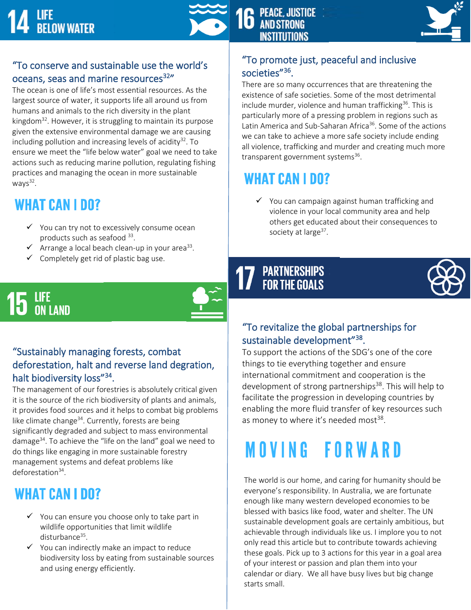



#### "To conserve and sustainable use the world's oceans, seas and marine resources<sup>32</sup>"

The ocean is one of life's most essential resources. As the largest source of water, it supports life all around us from humans and animals to the rich diversity in the plant kingdom<sup>32</sup>. However, it is struggling to maintain its purpose given the extensive environmental damage we are causing including pollution and increasing levels of acidity<sup>32</sup>. To ensure we meet the "life below water" goal we need to take actions such as reducing marine pollution, regulating fishing practices and managing the ocean in more sustainable ways<sup>32</sup>.

## **WHAT CAN I DO?**

- ✓ You can try not to excessively consume ocean products such as seafood <sup>33</sup>.
- $\checkmark$  Arrange a local beach clean-up in your area<sup>33</sup>.
- ✓ Completely get rid of plastic bag use.

## **LIFE<br>ON LAND**



That Diodiversity 1033<br>The management of our forestries is absolutely critical given mo management of oar forecalled to associately entieen given.<br>it is the source of the rich biodiversity of plants and animals, it provides food sources and it helps to combat big problems like climate change $^{34}$ . Currently, forests are being management systems and defeat problems like significantly degraded and subject to mass environmental damage<sup>34</sup>. To achieve the "life on the land" goal we need to do things like engaging in more sustainable forestry deforestation<sup>34</sup>.

## **WHAT CAN I DO?**

- $\checkmark$  You can ensure you choose only to take part in wildlife opportunities that limit wildlife disturbance<sup>35</sup>.
- ✓ You can indirectly make an impact to reduce biodiversity loss by eating from sustainable sources and using energy efficiently.

#### "To promote just, peaceful and inclusive societies<sup>"36</sup>.

There are so many occurrences that are threatening the existence of safe societies. Some of the most detrimental include murder, violence and human trafficking<sup>36</sup>. This is particularly more of a pressing problem in regions such as Latin America and Sub-Saharan Africa<sup>36</sup>. Some of the actions we can take to achieve a more safe society include ending all violence, trafficking and murder and creating much more transparent government systems<sup>36</sup>.

### **WHAT CAN I DO?**

 $\checkmark$  You can campaign against human trafficking and violence in your local community area and help others get educated about their consequences to society at large<sup>37</sup>.

## **17 PARTNERSHIPS**<br>**17** FOR THE GOALS



#### "To revitalize the global partnerships for sustainable development"<sup>38</sup>.

To support the actions of the SDG's one of the core things to tie everything together and ensure international commitment and cooperation is the development of strong partnerships $38$ . This will help to facilitate the progression in developing countries by enabling the more fluid transfer of key resources such as money to where it's needed most<sup>38</sup>.

The world is our home, and caring for humanity should be everyone's responsibility. In Australia, we are fortunate enough like many western developed economies to be blessed with basics like food, water and shelter. The UN sustainable development goals are certainly ambitious, but achievable through individuals like us. I implore you to not only read this article but to contribute towards achieving these goals. Pick up to 3 actions for this year in a goal area of your interest or passion and plan them into your calendar or diary. We all have busy lives but big change starts small.